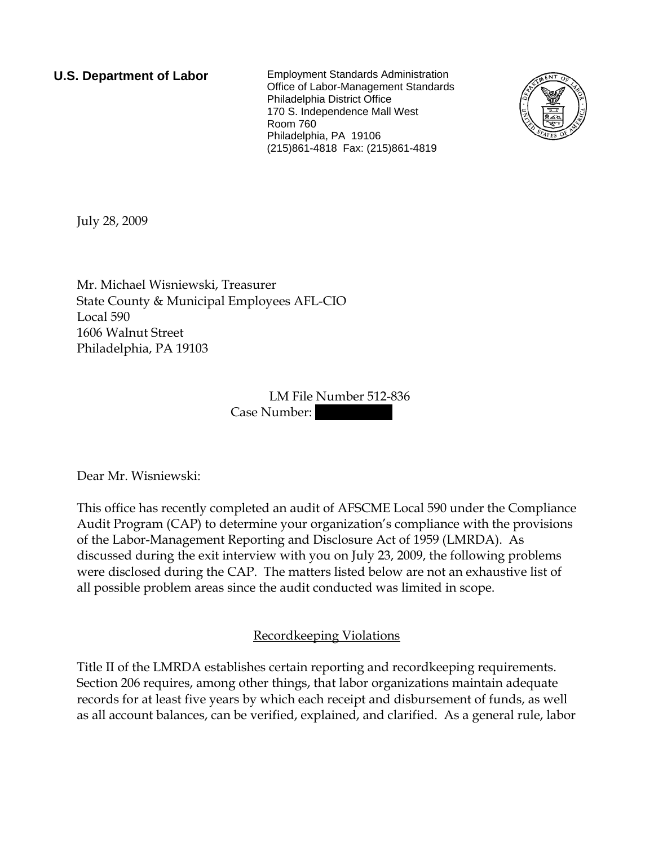**U.S. Department of Labor** Employment Standards Administration Office of Labor-Management Standards Philadelphia District Office 170 S. Independence Mall West Room 760 Philadelphia, PA 19106 (215)861-4818 Fax: (215)861-4819



July 28, 2009

Mr. Michael Wisniewski, Treasurer State County & Municipal Employees AFL-CIO Local 590 1606 Walnut Street Philadelphia, PA 19103

> LM File Number 512-836 Case Number:

Dear Mr. Wisniewski:

This office has recently completed an audit of AFSCME Local 590 under the Compliance Audit Program (CAP) to determine your organization's compliance with the provisions of the Labor-Management Reporting and Disclosure Act of 1959 (LMRDA). As discussed during the exit interview with you on July 23, 2009, the following problems were disclosed during the CAP. The matters listed below are not an exhaustive list of all possible problem areas since the audit conducted was limited in scope.

## Recordkeeping Violations

Title II of the LMRDA establishes certain reporting and recordkeeping requirements. Section 206 requires, among other things, that labor organizations maintain adequate records for at least five years by which each receipt and disbursement of funds, as well as all account balances, can be verified, explained, and clarified. As a general rule, labor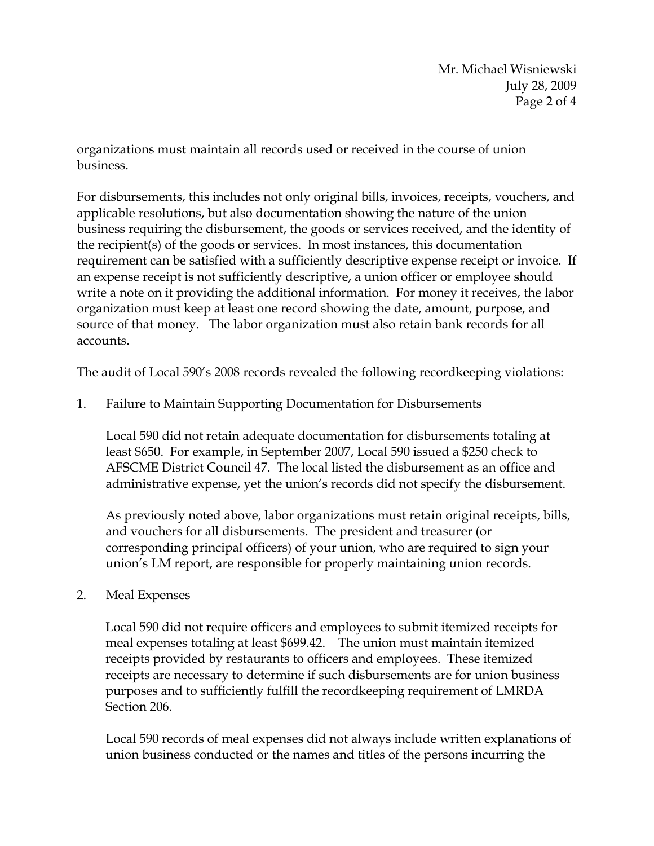Mr. Michael Wisniewski July 28, 2009 Page 2 of 4

organizations must maintain all records used or received in the course of union business.

For disbursements, this includes not only original bills, invoices, receipts, vouchers, and applicable resolutions, but also documentation showing the nature of the union business requiring the disbursement, the goods or services received, and the identity of the recipient(s) of the goods or services. In most instances, this documentation requirement can be satisfied with a sufficiently descriptive expense receipt or invoice. If an expense receipt is not sufficiently descriptive, a union officer or employee should write a note on it providing the additional information. For money it receives, the labor organization must keep at least one record showing the date, amount, purpose, and source of that money. The labor organization must also retain bank records for all accounts.

The audit of Local 590's 2008 records revealed the following recordkeeping violations:

1. Failure to Maintain Supporting Documentation for Disbursements

Local 590 did not retain adequate documentation for disbursements totaling at least \$650. For example, in September 2007, Local 590 issued a \$250 check to AFSCME District Council 47. The local listed the disbursement as an office and administrative expense, yet the union's records did not specify the disbursement.

As previously noted above, labor organizations must retain original receipts, bills, and vouchers for all disbursements. The president and treasurer (or corresponding principal officers) of your union, who are required to sign your union's LM report, are responsible for properly maintaining union records.

## 2. Meal Expenses

Local 590 did not require officers and employees to submit itemized receipts for meal expenses totaling at least \$699.42. The union must maintain itemized receipts provided by restaurants to officers and employees. These itemized receipts are necessary to determine if such disbursements are for union business purposes and to sufficiently fulfill the recordkeeping requirement of LMRDA Section 206.

Local 590 records of meal expenses did not always include written explanations of union business conducted or the names and titles of the persons incurring the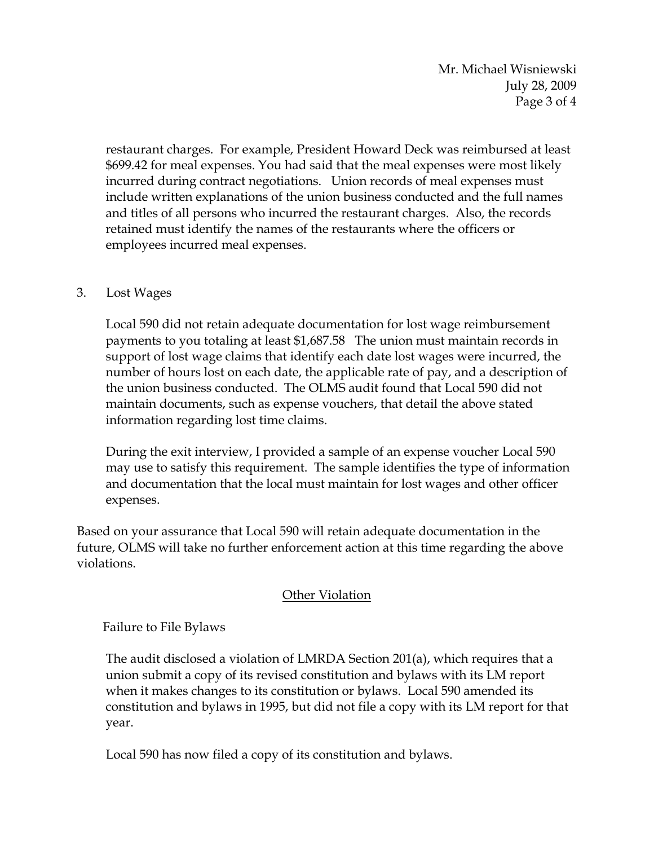Mr. Michael Wisniewski July 28, 2009 Page 3 of 4

restaurant charges. For example, President Howard Deck was reimbursed at least \$699.42 for meal expenses. You had said that the meal expenses were most likely incurred during contract negotiations. Union records of meal expenses must include written explanations of the union business conducted and the full names and titles of all persons who incurred the restaurant charges. Also, the records retained must identify the names of the restaurants where the officers or employees incurred meal expenses.

## 3. Lost Wages

Local 590 did not retain adequate documentation for lost wage reimbursement payments to you totaling at least \$1,687.58 The union must maintain records in support of lost wage claims that identify each date lost wages were incurred, the number of hours lost on each date, the applicable rate of pay, and a description of the union business conducted. The OLMS audit found that Local 590 did not maintain documents, such as expense vouchers, that detail the above stated information regarding lost time claims.

During the exit interview, I provided a sample of an expense voucher Local 590 may use to satisfy this requirement. The sample identifies the type of information and documentation that the local must maintain for lost wages and other officer expenses.

Based on your assurance that Local 590 will retain adequate documentation in the future, OLMS will take no further enforcement action at this time regarding the above violations.

## Other Violation

Failure to File Bylaws

The audit disclosed a violation of LMRDA Section 201(a), which requires that a union submit a copy of its revised constitution and bylaws with its LM report when it makes changes to its constitution or bylaws. Local 590 amended its constitution and bylaws in 1995, but did not file a copy with its LM report for that year.

Local 590 has now filed a copy of its constitution and bylaws.